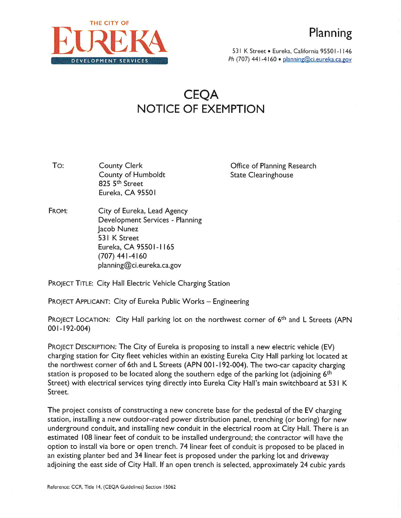

531 K Street • Eureka, California 95501-1146 **Ph (707) 441-4160 • planning@ci.eureka.ca.gov** 

## CEQA NOTICE OF EXEMPTION

To: County Clerk County of Humboldt 825 5<sup>th</sup> Street Eureka, CA 95501

Office of Planning Research State Clearinghouse

FROM: City of Eureka, Lead Agency Development Services - Planning Jacob Nunez 531 K Street Eureka, CA 95501- <sup>1</sup> <sup>165</sup> (707) 441-4160 planning@ci.eureka.ca.gov

PROJECT TITLE: City Hall Electric Vehicle Charging Station

PROJECT APPLICANT: City of Eureka Public Works - Engineering

PROJECT LOCATION: City Hall parking lot on the northwest corner of 6<sup>th</sup> and L Streets (APN 001- 192-004)

PROJECT DESCRIPTION: The City of Eureka is proposing to install <sup>a</sup> new electric vehicle (EV) charging station for City fleet vehicles within an existing Eureka City Hall parking lot located at the northwest corner of 6th and L Streets (APN 001-192-004). The two-car capacity charging station is proposed to be located along the southern edge of the parking lot (adjoining 6<sup>th</sup> Street) with electrical services tying directly into Eureka City Hall's main switchboard at 53 I K Street.

The project consists of constructing a new concrete base for the pedestal of the EV charging station, installing <sup>a</sup> new outdoor-rated power distribution panel, trenching (or boring) for new underground conduit, and installing new conduit in the electrical room at City Hall. There is an estimated 108 linear feet of conduit to be installed underground; the contractor will have the option to install via bore or open trench. 74 linear feet of conduit is proposed to be placed in an existing planter bed and 34 linear feet is proposed under the parking lot and driveway adjoining the east side of City Hall. If an open trench is selected, approximately 24 cubic yards